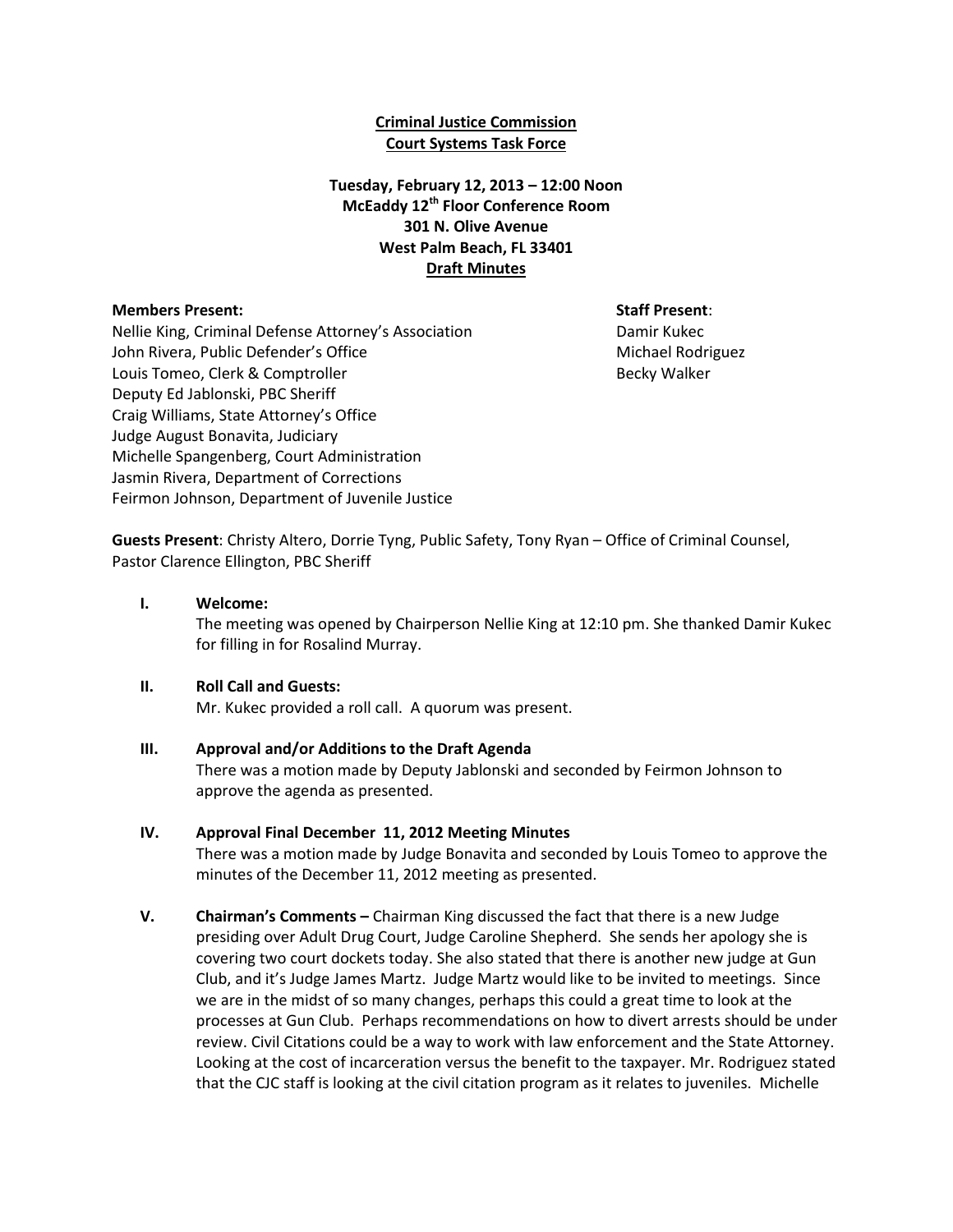### **Criminal Justice Commission Court Systems Task Force**

## **Tuesday, February 12, 2013 – 12:00 Noon McEaddy 12th Floor Conference Room 301 N. Olive Avenue West Palm Beach, FL 33401 Draft Minutes**

#### **Members Present: Staff Present**:

Nellie King, Criminal Defense Attorney's Association **Damir Kukec** John Rivera, Public Defender's Office Michael Rodriguez Michael Rodriguez Louis Tomeo, Clerk & Comptroller **Becky Walker** Becky Walker Deputy Ed Jablonski, PBC Sheriff Craig Williams, State Attorney's Office Judge August Bonavita, Judiciary Michelle Spangenberg, Court Administration Jasmin Rivera, Department of Corrections Feirmon Johnson, Department of Juvenile Justice

**Guests Present**: Christy Altero, Dorrie Tyng, Public Safety, Tony Ryan – Office of Criminal Counsel, Pastor Clarence Ellington, PBC Sheriff

#### **I. Welcome:**

The meeting was opened by Chairperson Nellie King at 12:10 pm. She thanked Damir Kukec for filling in for Rosalind Murray.

### **II. Roll Call and Guests:**

Mr. Kukec provided a roll call. A quorum was present.

### **III. Approval and/or Additions to the Draft Agenda**

There was a motion made by Deputy Jablonski and seconded by Feirmon Johnson to approve the agenda as presented.

### **IV. Approval Final December 11, 2012 Meeting Minutes**

There was a motion made by Judge Bonavita and seconded by Louis Tomeo to approve the minutes of the December 11, 2012 meeting as presented.

**V. Chairman's Comments –** Chairman King discussed the fact that there is a new Judge presiding over Adult Drug Court, Judge Caroline Shepherd. She sends her apology she is covering two court dockets today. She also stated that there is another new judge at Gun Club, and it's Judge James Martz. Judge Martz would like to be invited to meetings. Since we are in the midst of so many changes, perhaps this could a great time to look at the processes at Gun Club. Perhaps recommendations on how to divert arrests should be under review. Civil Citations could be a way to work with law enforcement and the State Attorney. Looking at the cost of incarceration versus the benefit to the taxpayer. Mr. Rodriguez stated that the CJC staff is looking at the civil citation program as it relates to juveniles. Michelle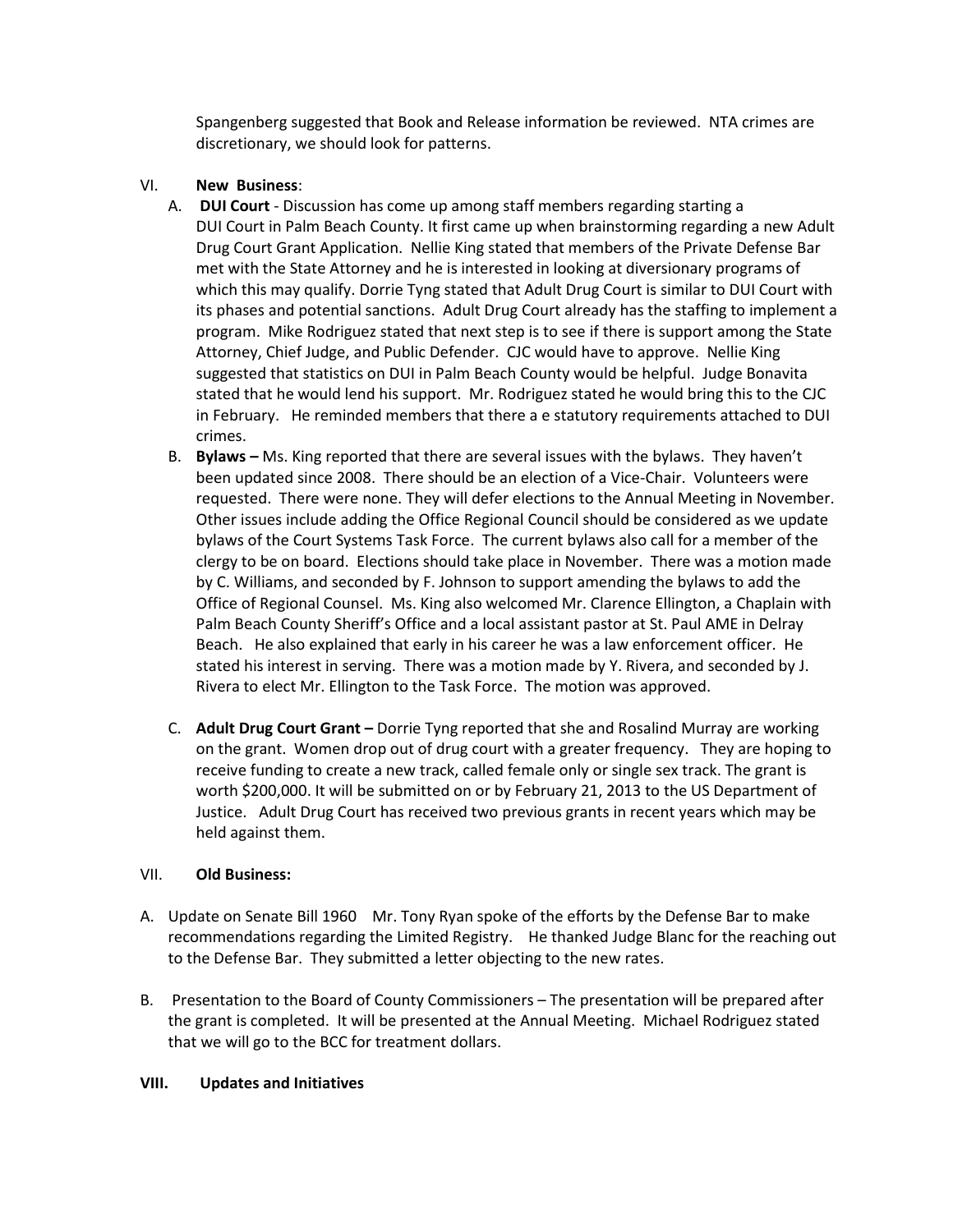Spangenberg suggested that Book and Release information be reviewed. NTA crimes are discretionary, we should look for patterns.

## VI. **New Business**:

- A. **DUI Court** Discussion has come up among staff members regarding starting a DUI Court in Palm Beach County. It first came up when brainstorming regarding a new Adult Drug Court Grant Application. Nellie King stated that members of the Private Defense Bar met with the State Attorney and he is interested in looking at diversionary programs of which this may qualify. Dorrie Tyng stated that Adult Drug Court is similar to DUI Court with its phases and potential sanctions. Adult Drug Court already has the staffing to implement a program. Mike Rodriguez stated that next step is to see if there is support among the State Attorney, Chief Judge, and Public Defender. CJC would have to approve. Nellie King suggested that statistics on DUI in Palm Beach County would be helpful. Judge Bonavita stated that he would lend his support. Mr. Rodriguez stated he would bring this to the CJC in February. He reminded members that there a e statutory requirements attached to DUI crimes.
- B. **Bylaws –** Ms. King reported that there are several issues with the bylaws. They haven't been updated since 2008. There should be an election of a Vice-Chair. Volunteers were requested. There were none. They will defer elections to the Annual Meeting in November. Other issues include adding the Office Regional Council should be considered as we update bylaws of the Court Systems Task Force. The current bylaws also call for a member of the clergy to be on board. Elections should take place in November. There was a motion made by C. Williams, and seconded by F. Johnson to support amending the bylaws to add the Office of Regional Counsel. Ms. King also welcomed Mr. Clarence Ellington, a Chaplain with Palm Beach County Sheriff's Office and a local assistant pastor at St. Paul AME in Delray Beach. He also explained that early in his career he was a law enforcement officer. He stated his interest in serving. There was a motion made by Y. Rivera, and seconded by J. Rivera to elect Mr. Ellington to the Task Force. The motion was approved.
- C. **Adult Drug Court Grant –** Dorrie Tyng reported that she and Rosalind Murray are working on the grant. Women drop out of drug court with a greater frequency. They are hoping to receive funding to create a new track, called female only or single sex track. The grant is worth \$200,000. It will be submitted on or by February 21, 2013 to the US Department of Justice. Adult Drug Court has received two previous grants in recent years which may be held against them.

# VII. **Old Business:**

- A. Update on Senate Bill 1960 Mr. Tony Ryan spoke of the efforts by the Defense Bar to make recommendations regarding the Limited Registry. He thanked Judge Blanc for the reaching out to the Defense Bar. They submitted a letter objecting to the new rates.
- B. Presentation to the Board of County Commissioners The presentation will be prepared after the grant is completed. It will be presented at the Annual Meeting. Michael Rodriguez stated that we will go to the BCC for treatment dollars.

### **VIII. Updates and Initiatives**